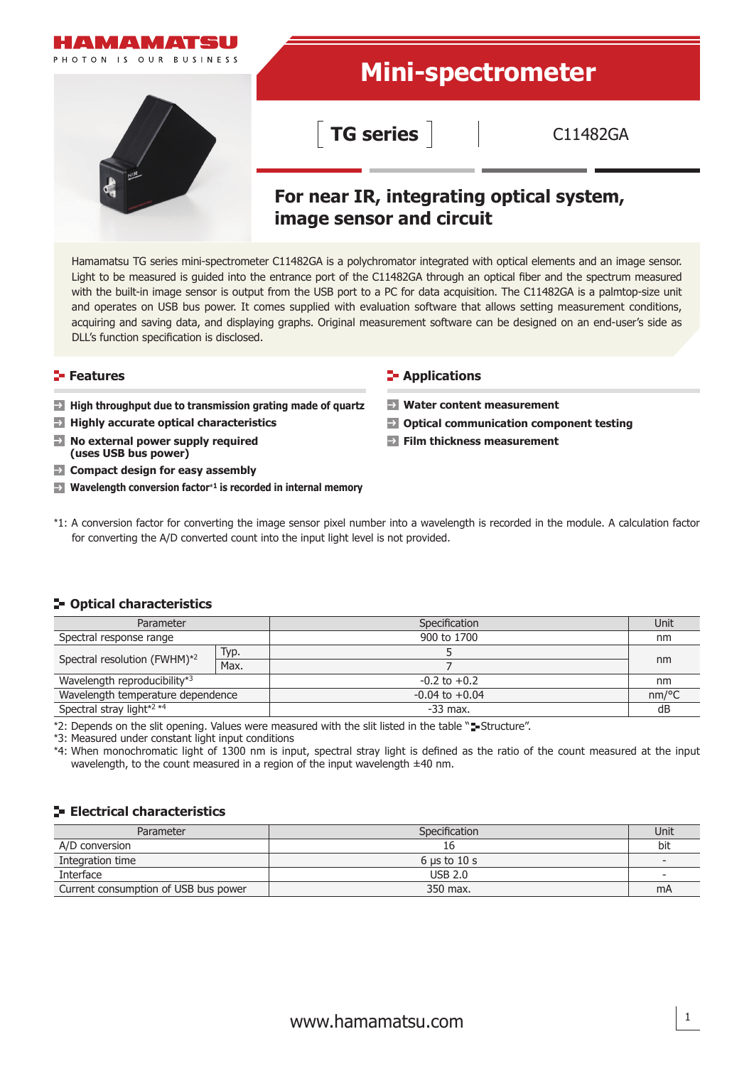

Hamamatsu TG series mini-spectrometer C11482GA is a polychromator integrated with optical elements and an image sensor. Light to be measured is guided into the entrance port of the C11482GA through an optical fiber and the spectrum measured with the built-in image sensor is output from the USB port to a PC for data acquisition. The C11482GA is a palmtop-size unit and operates on USB bus power. It comes supplied with evaluation software that allows setting measurement conditions, acquiring and saving data, and displaying graphs. Original measurement software can be designed on an end-user's side as DLL's function specification is disclosed.

- **High throughput due to transmission grating made of quartz**
- **Highly accurate optical characteristics**
- $\rightarrow$ **No external power supply required (uses USB bus power)**
- **EX** Compact design for easy assembly
- **Wavelength conversion factor**\***1 is recorded in internal memory**

#### **Features CONSIDERENT INCORRECT IN THE EXAMPLE TO APPLICATIONS**

- **Water content measurement**
- **Optical communication component testing**
- **Film thickness measurement**
- \*1: A conversion factor for converting the image sensor pixel number into a wavelength is recorded in the module. A calculation factor for converting the A/D converted count into the input light level is not provided.

#### **Optical characteristics**

| Parameter                         |      | Specification      | Unit     |  |
|-----------------------------------|------|--------------------|----------|--|
| Spectral response range           |      | 900 to 1700        | nm       |  |
| Spectral resolution (FWHM)*2      | Typ. |                    | nm       |  |
|                                   | Max. |                    |          |  |
| Wavelength reproducibility*3      |      | $-0.2$ to $+0.2$   | nm       |  |
| Wavelength temperature dependence |      | $-0.04$ to $+0.04$ | $nm$ /°C |  |
| Spectral stray light*2 *4         |      | $-33$ max.         | dB       |  |

\*2: Depends on the slit opening. Values were measured with the slit listed in the table "=-Structure".

\*3: Measured under constant light input conditions

\*4: When monochromatic light of 1300 nm is input, spectral stray light is defined as the ratio of the count measured at the input wavelength, to the count measured in a region of the input wavelength ±40 nm.

# **Electrical characteristics**

| Parameter                            | Specification                   | Unit                     |
|--------------------------------------|---------------------------------|--------------------------|
| A/D conversion                       | Τp                              | bit                      |
| Integration time                     | $6 \text{ us to } 10 \text{ s}$ | $\overline{\phantom{a}}$ |
| Interface                            | USB 2.0                         | -                        |
| Current consumption of USB bus power | 350 max.                        | mA                       |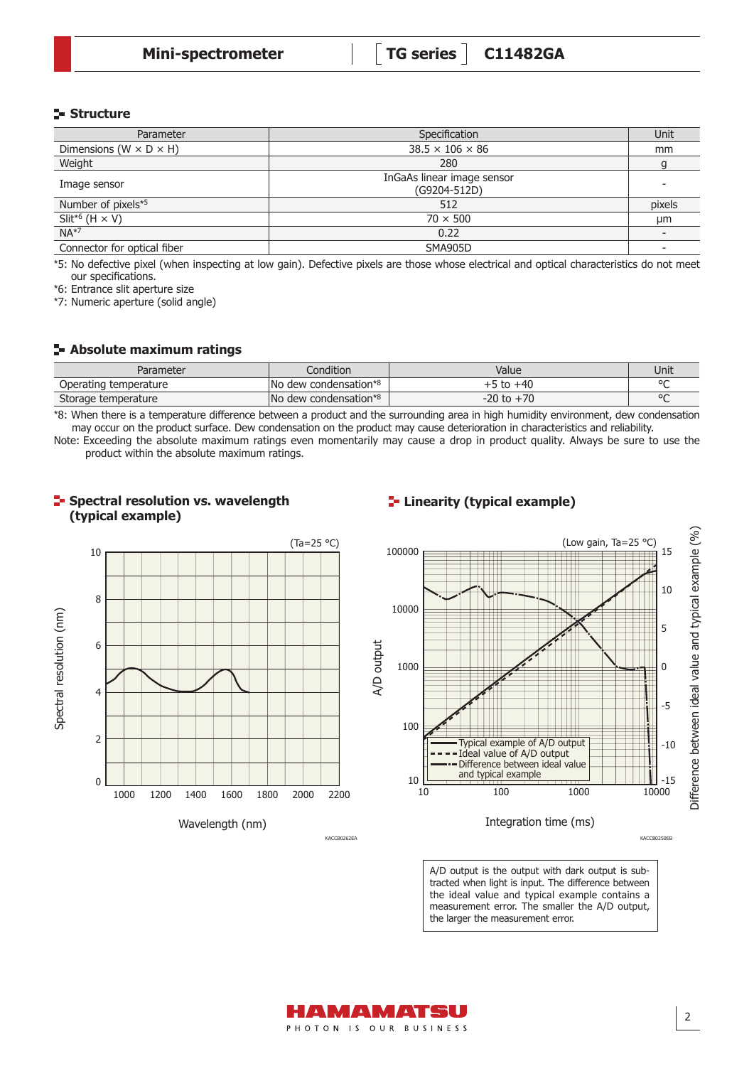## **Structure**

| Parameter                            | Specification                              | Unit   |
|--------------------------------------|--------------------------------------------|--------|
| Dimensions ( $W \times D \times H$ ) | $38.5 \times 106 \times 86$                | mm     |
| Weight                               | 280                                        |        |
| Image sensor                         | InGaAs linear image sensor<br>(G9204-512D) |        |
| Number of pixels*5                   | 512                                        | pixels |
| Slit <sup>*6</sup> (H $\times$ V)    | $70 \times 500$                            | μm     |
| $NA*7$                               | 0.22                                       |        |
| Connector for optical fiber          | SMA905D                                    |        |

\*5: No defective pixel (when inspecting at low gain). Defective pixels are those whose electrical and optical characteristics do not meet our specifications.

\*6: Entrance slit aperture size

\*7: Numeric aperture (solid angle)

#### **Absolute maximum ratings**

**Spectral resolution vs. wavelength** 

| Parameter                | $\cdots$<br>ondition                     | Value          | Unit   |
|--------------------------|------------------------------------------|----------------|--------|
| Operating<br>temperature | l No<br>condensation*<br>dew             | $+40$          | $\sim$ |
| Storage temperature      | lNo<br>condensation* <sup>8</sup><br>dew | $\neg$<br>20 t | $\sim$ |

\*8: When there is a temperature difference between a product and the surrounding area in high humidity environment, dew condensation may occur on the product surface. Dew condensation on the product may cause deterioration in characteristics and reliability.

Note: Exceeding the absolute maximum ratings even momentarily may cause a drop in product quality. Always be sure to use the product within the absolute maximum ratings.



# **Linearity (typical example)**



A/D output is the output with dark output is subtracted when light is input. The difference between the ideal value and typical example contains a measurement error. The smaller the A/D output, the larger the measurement error.



KACCB0262EA

KACCB0250EB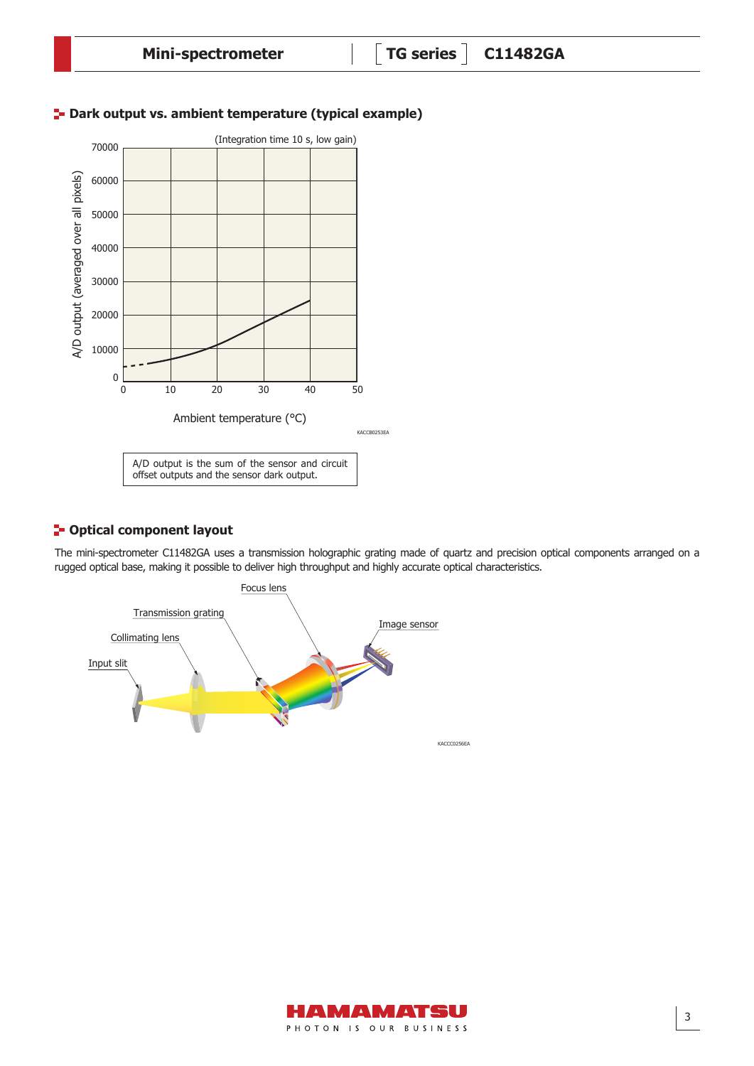

# **E-** Dark output vs. ambient temperature (typical example)

# **P** Optical component layout

The mini-spectrometer C11482GA uses a transmission holographic grating made of quartz and precision optical components arranged on a rugged optical base, making it possible to deliver high throughput and highly accurate optical characteristics.



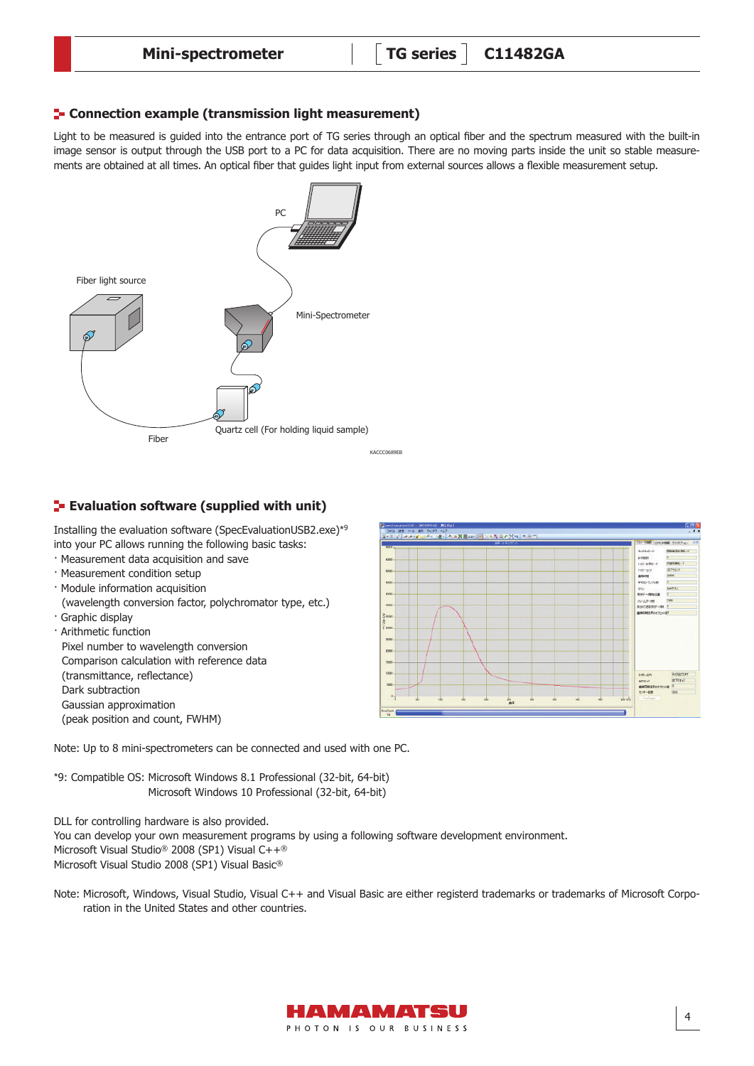## **F** Connection example (transmission light measurement)

Light to be measured is guided into the entrance port of TG series through an optical fiber and the spectrum measured with the built-in image sensor is output through the USB port to a PC for data acquisition. There are no moving parts inside the unit so stable measurements are obtained at all times. An optical fiber that guides light input from external sources allows a flexible measurement setup.



# **Evaluation software (supplied with unit)**

Installing the evaluation software (SpecEvaluationUSB2.exe)\*<sup>9</sup> into your PC allows running the following basic tasks:

- · Measurement data acquisition and save
- · Measurement condition setup
- · Module information acquisition
- (wavelength conversion factor, polychromator type, etc.) · Graphic display
- · Arithmetic function Pixel number to wavelength conversion Comparison calculation with reference data (transmittance, reflectance) Dark subtraction Gaussian approximation (peak position and count, FWHM)



Note: Up to 8 mini-spectrometers can be connected and used with one PC.

\*9: Compatible OS: Microsoft Windows 8.1 Professional (32-bit, 64-bit) Microsoft Windows 10 Professional (32-bit, 64-bit)

DLL for controlling hardware is also provided.

You can develop your own measurement programs by using a following software development environment. Microsoft Visual Studio® 2008 (SP1) Visual C++®

Microsoft Visual Studio 2008 (SP1) Visual Basic®

Note: Microsoft, Windows, Visual Studio, Visual C++ and Visual Basic are either registerd trademarks or trademarks of Microsoft Corporation in the United States and other countries.

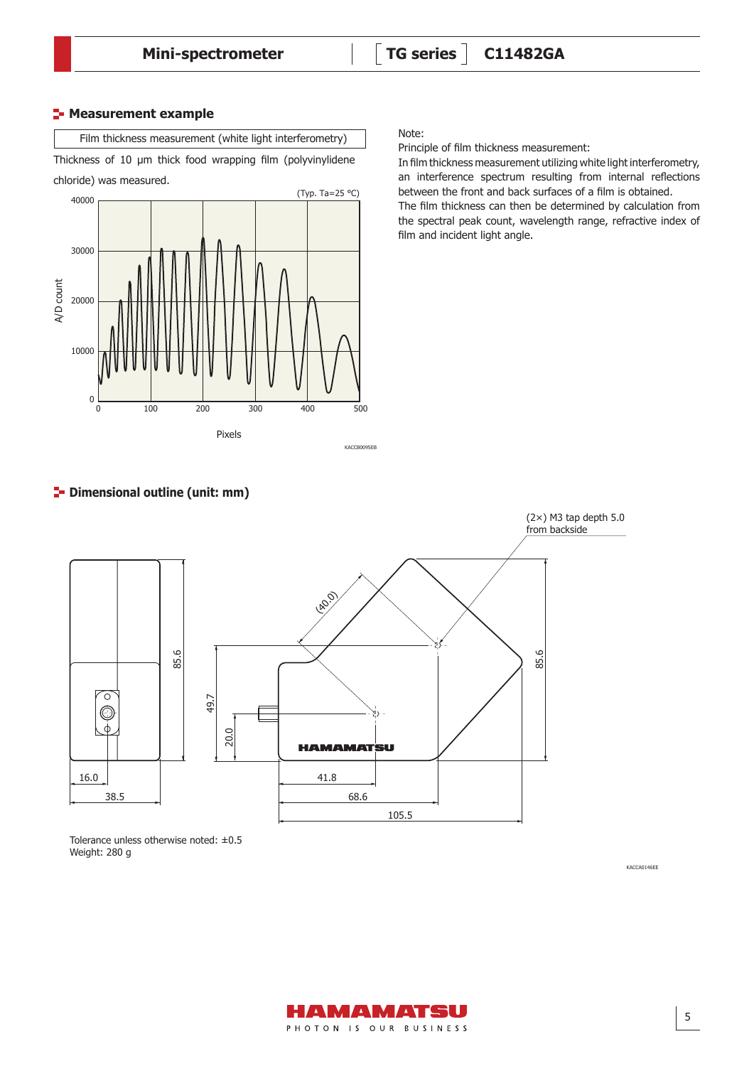#### **E-** Measurement example



Thickness of 10 µm thick food wrapping film (polyvinylidene

chloride) was measured.



Note:

Principle of film thickness measurement:

In film thickness measurement utilizing white light interferometry, an interference spectrum resulting from internal reflections between the front and back surfaces of a film is obtained.

The film thickness can then be determined by calculation from the spectral peak count, wavelength range, refractive index of film and incident light angle.

# $\blacktriangleright$  Dimensional outline (unit: mm)



Tolerance unless otherwise noted: ±0.5 Weight: 280 g

KACCA0146EE

5

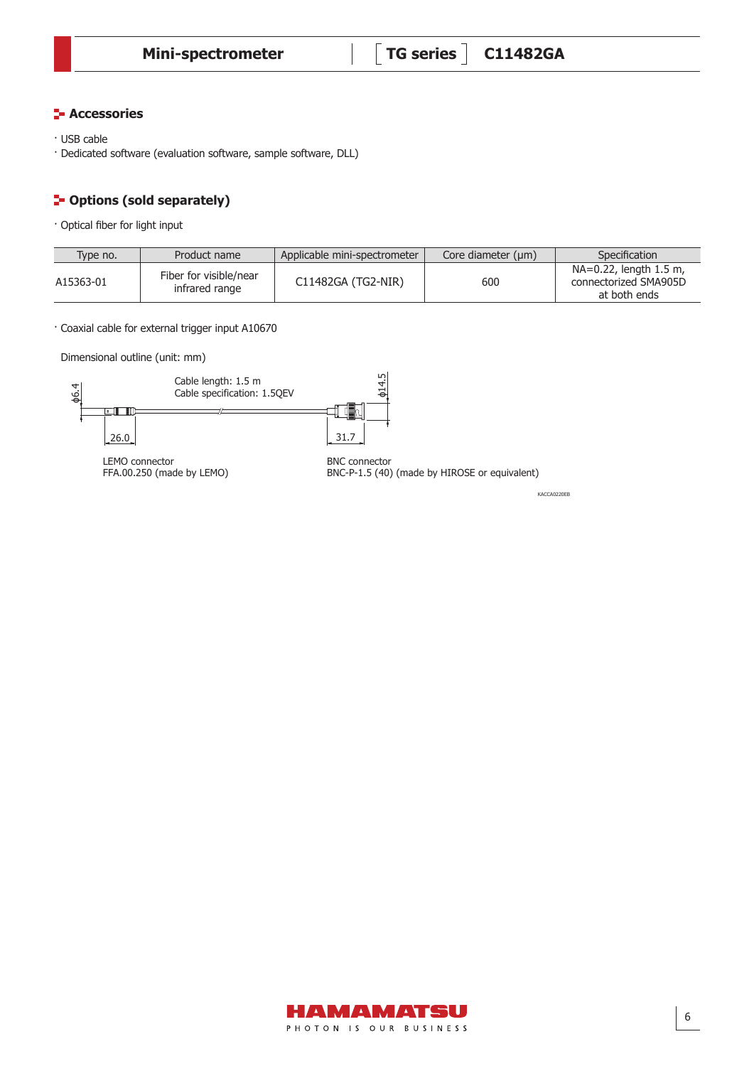## **F** Accessories

- · USB cable
- · Dedicated software (evaluation software, sample software, DLL)

#### **P**-Options (sold separately) Dimensional outline (unit: mm)

· Optical fiber for light input

| Type no.  | Product name                             | Applicable mini-spectrometer | Core diameter $(\mu m)$ | Specification                                                   |
|-----------|------------------------------------------|------------------------------|-------------------------|-----------------------------------------------------------------|
| A15363-01 | Fiber for visible/near<br>infrared range | C11482GA (TG2-NIR)           | 600                     | NA=0.22, length 1.5 m,<br>connectorized SMA905D<br>at both ends |

· Coaxial cable for external trigger input A10670

Dimensional outline (unit: mm)



KACCA0220EB